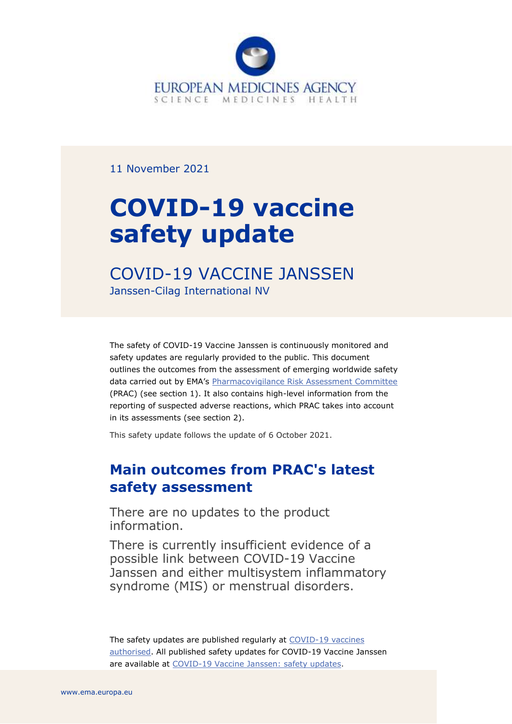

11 November 2021

# **COVID-19 vaccine safety update**

# COVID-19 VACCINE JANSSEN Janssen-Cilag International NV

The safety of COVID-19 Vaccine Janssen is continuously monitored and safety updates are regularly provided to the public. This document outlines the outcomes from the assessment of emerging worldwide safety data carried out by EMA's [Pharmacovigilance Risk Assessment Committee](https://www.ema.europa.eu/en/committees/pharmacovigilance-risk-assessment-committee-prac) (PRAC) (see section 1). It also contains high-level information from the reporting of suspected adverse reactions, which PRAC takes into account in its assessments (see section 2).

This safety update follows the update of 6 October 2021.

# **Main outcomes from PRAC's latest safety assessment**

There are no updates to the product information.

There is currently insufficient evidence of a possible link between COVID-19 Vaccine Janssen and either multisystem inflammatory syndrome (MIS) or menstrual disorders.

The safety updates are published regularly at COVID-19 vaccines [authorised.](https://www.ema.europa.eu/en/human-regulatory/overview/public-health-threats/coronavirus-disease-covid-19/treatments-vaccines/vaccines-covid-19/safety-covid-19-vaccines) All published safety updates for COVID-19 Vaccine Janssen are available at [COVID-19 Vaccine Janssen: safety updates.](https://www.ema.europa.eu/en/medicines/human/EPAR/covid-19-vaccine-janssen#safety-updates-section)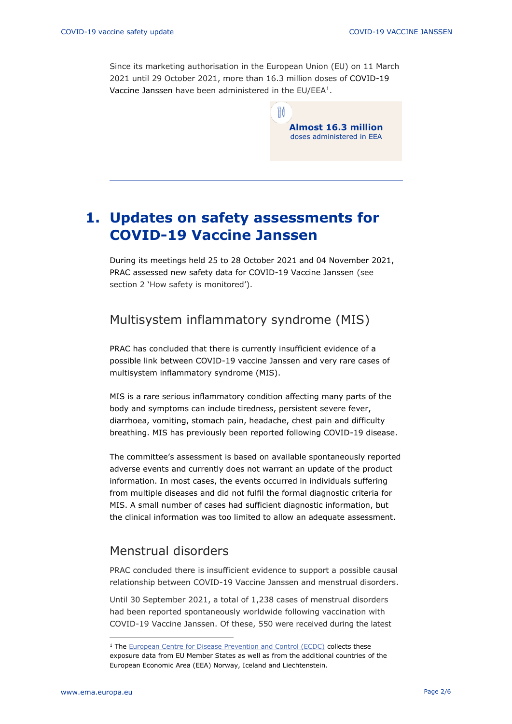Since its marketing authorisation in the European Union (EU) on 11 March 2021 until 29 October 2021, more than 16.3 million doses of COVID-19 Vaccine Janssen have been administered in the EU/EEA<sup>1</sup>.

> **Almost 16.3 million** doses administered in EEA

# **1. Updates on safety assessments for COVID-19 Vaccine Janssen**

During its meetings held 25 to 28 October 2021 and 04 November 2021, PRAC assessed new safety data for COVID-19 Vaccine Janssen (see section 2 'How safety is monitored').

## Multisystem inflammatory syndrome (MIS)

[PRAC](https://www.ema.europa.eu/en/glossary/prac) has concluded that there is currently insufficient evidence of a possible link between COVID-19 vaccine Janssen and very rare cases of multisystem inflammatory syndrome (MIS).

MIS is a rare serious inflammatory condition affecting many parts of the body and symptoms can include tiredness, persistent severe fever, diarrhoea, vomiting, stomach pain, headache, chest pain and difficulty breathing. MIS has previously been reported following COVID-19 disease.

The committee's assessment is based on available spontaneously reported adverse events and currently does not warrant an update of the [product](https://www.ema.europa.eu/en/glossary/product-information)  [information.](https://www.ema.europa.eu/en/glossary/product-information) In most cases, the events occurred in individuals suffering from multiple diseases and did not fulfil the formal diagnostic criteria for MIS. A small number of cases had sufficient diagnostic information, but the clinical information was too limited to allow an adequate assessment.

## Menstrual disorders

PRAC concluded there is insufficient evidence to support a possible causal relationship between COVID-19 Vaccine Janssen and menstrual disorders.

Until 30 September 2021, a total of 1,238 cases of menstrual disorders had been reported spontaneously worldwide following vaccination with COVID-19 Vaccine Janssen. Of these, 550 were received during the latest

<sup>&</sup>lt;sup>1</sup> The [European Centre for Disease Prevention and Control \(ECDC\)](https://qap.ecdc.europa.eu/public/extensions/COVID-19/vaccine-tracker.html#uptake-tab) collects these exposure data from EU Member States as well as from the additional countries of the European Economic Area (EEA) Norway, Iceland and Liechtenstein.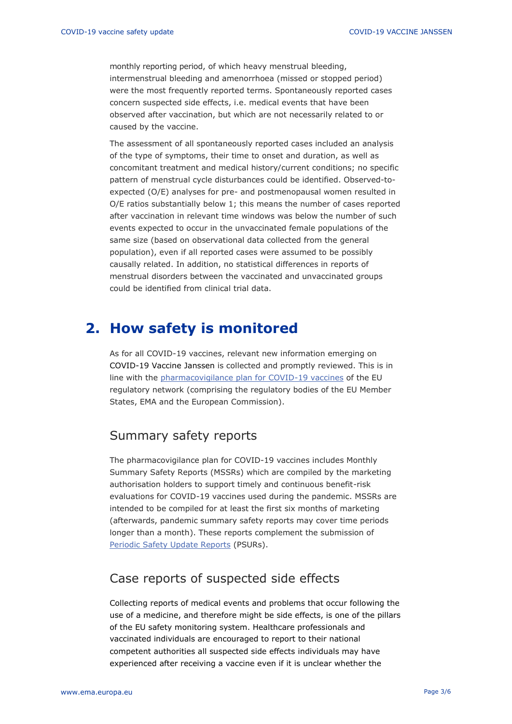monthly reporting period, of which heavy menstrual bleeding, intermenstrual bleeding and amenorrhoea (missed or stopped period) were the most frequently reported terms. Spontaneously reported cases concern suspected side effects, i.e. medical events that have been observed after vaccination, but which are not necessarily related to or caused by the vaccine.

The assessment of all spontaneously reported cases included an analysis of the type of symptoms, their time to onset and duration, as well as concomitant treatment and medical history/current conditions; no specific pattern of menstrual cycle disturbances could be identified. Observed-toexpected (O/E) analyses for pre- and postmenopausal women resulted in O/E ratios substantially below 1; this means the number of cases reported after vaccination in relevant time windows was below the number of such events expected to occur in the unvaccinated female populations of the same size (based on observational data collected from the general population), even if all reported cases were assumed to be possibly causally related. In addition, no statistical differences in reports of menstrual disorders between the vaccinated and unvaccinated groups could be identified from clinical trial data.

## **2. How safety is monitored**

As for all COVID-19 vaccines, relevant new information emerging on COVID-19 Vaccine Janssen is collected and promptly reviewed. This is in line with the [pharmacovigilance plan for COVID-19 vaccines](https://www.ema.europa.eu/en/human-regulatory/overview/public-health-threats/coronavirus-disease-covid-19/treatments-vaccines/treatments-vaccines-covid-19-post-authorisation#covid-19-vaccines:-pharmacovigilance-plan-section) of the EU regulatory network (comprising the regulatory bodies of the EU Member States, EMA and the European Commission).

#### Summary safety reports

The pharmacovigilance plan for COVID-19 vaccines includes Monthly Summary Safety Reports (MSSRs) which are compiled by the marketing authorisation holders to support timely and continuous benefit-risk evaluations for COVID-19 vaccines used during the pandemic. MSSRs are intended to be compiled for at least the first six months of marketing (afterwards, pandemic summary safety reports may cover time periods longer than a month). These reports complement the submission of [Periodic Safety Update Reports](https://www.ema.europa.eu/en/human-regulatory/post-authorisation/pharmacovigilance/periodic-safety-update-reports-psurs) (PSURs).

#### Case reports of suspected side effects

Collecting reports of medical events and problems that occur following the use of a medicine, and therefore might be side effects, is one of the pillars of the EU safety monitoring system. Healthcare professionals and vaccinated individuals are encouraged to report to their national competent authorities all suspected side effects individuals may have experienced after receiving a vaccine even if it is unclear whether the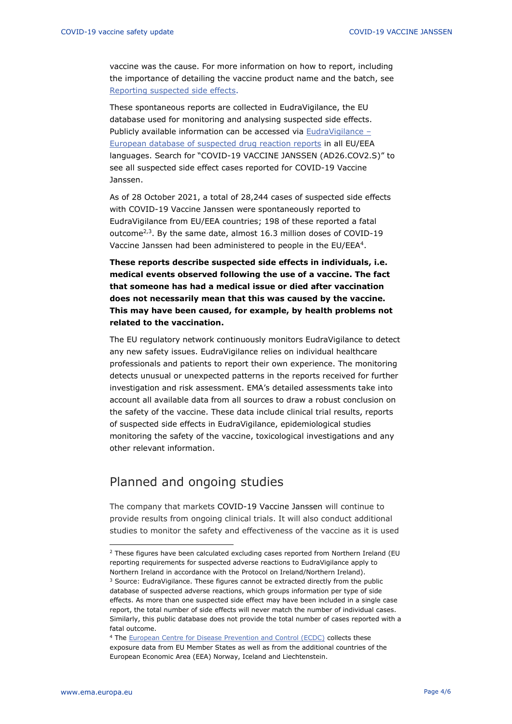vaccine was the cause. For more information on how to report, including the importance of detailing the vaccine product name and the batch, see [Reporting suspected side effects.](https://www.ema.europa.eu/en/human-regulatory/overview/public-health-threats/coronavirus-disease-covid-19/public-health-advice-during-covid-19-pandemic#reporting-suspected-side-effects-section)

These spontaneous reports are collected in EudraVigilance, the EU database used for monitoring and analysing suspected side effects. Publicly available information can be accessed via [EudraVigilance](https://www.adrreports.eu/en/index.html) – [European database of suspected drug reaction reports](https://www.adrreports.eu/en/index.html) in all EU/EEA languages. Search for "COVID-19 VACCINE JANSSEN (AD26.COV2.S)" to see all suspected side effect cases reported for COVID-19 Vaccine Janssen.

As of 28 October 2021, a total of 28,244 cases of suspected side effects with COVID-19 Vaccine Janssen were spontaneously reported to EudraVigilance from EU/EEA countries; 198 of these reported a fatal outcome $^{2,3}$ . By the same date, almost 16.3 million doses of COVID-19 Vaccine Janssen had been administered to people in the EU/EEA<sup>4</sup>.

**These reports describe suspected side effects in individuals, i.e. medical events observed following the use of a vaccine. The fact that someone has had a medical issue or died after vaccination does not necessarily mean that this was caused by the vaccine. This may have been caused, for example, by health problems not related to the vaccination.** 

The EU regulatory network continuously monitors EudraVigilance to detect any new safety issues. EudraVigilance relies on individual healthcare professionals and patients to report their own experience. The monitoring detects unusual or unexpected patterns in the reports received for further investigation and risk assessment. EMA's detailed assessments take into account all available data from all sources to draw a robust conclusion on the safety of the vaccine. These data include clinical trial results, reports of suspected side effects in EudraVigilance, epidemiological studies monitoring the safety of the vaccine, toxicological investigations and any other relevant information.

#### Planned and ongoing studies

The company that markets COVID-19 Vaccine Janssen will continue to provide results from ongoing clinical trials. It will also conduct additional studies to monitor the safety and effectiveness of the vaccine as it is used

 $2$  These figures have been calculated excluding cases reported from Northern Ireland (EU reporting requirements for suspected adverse reactions to EudraVigilance apply to Northern Ireland in accordance with the Protocol on Ireland/Northern Ireland).

 $3$  Source: EudraVigilance. These figures cannot be extracted directly from the public database of suspected adverse reactions, which groups information per type of side effects. As more than one suspected side effect may have been included in a single case report, the total number of side effects will never match the number of individual cases. Similarly, this public database does not provide the total number of cases reported with a fatal outcome.

<sup>&</sup>lt;sup>4</sup> The [European Centre for Disease Prevention and Control \(ECDC\)](https://qap.ecdc.europa.eu/public/extensions/COVID-19/vaccine-tracker.html#uptake-tab) collects these exposure data from EU Member States as well as from the additional countries of the European Economic Area (EEA) Norway, Iceland and Liechtenstein.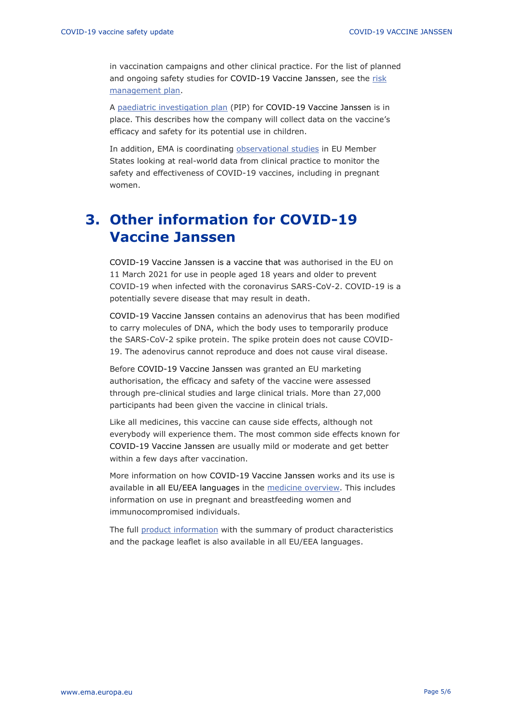in vaccination campaigns and other clinical practice. For the list of planned and ongoing safety studies for COVID-19 Vaccine Janssen, see the risk [management plan.](https://www.ema.europa.eu/en/documents/rmp-summary/covid-19-vaccine-janssen-epar-risk-management-plan_en.pdf)

A [paediatric investigation plan](https://www.ema.europa.eu/en/medicines/human/paediatric-investigation-plans/emea-002880-pip01-20) (PIP) for COVID-19 Vaccine Janssen is in place. This describes how the company will collect data on the vaccine's efficacy and safety for its potential use in children.

In addition, EMA is coordinating [observational studies](https://www.ema.europa.eu/en/human-regulatory/overview/public-health-threats/coronavirus-disease-covid-19/treatments-vaccines/treatments-vaccines-covid-19-post-authorisation#observational-research-section) in EU Member States looking at real-world data from clinical practice to monitor the safety and effectiveness of COVID-19 vaccines, including in pregnant women.

# **3. Other information for COVID-19 Vaccine Janssen**

COVID-19 Vaccine Janssen is a vaccine that was authorised in the EU on 11 March 2021 for use in people aged 18 years and older to prevent COVID-19 when infected with the coronavirus SARS-CoV-2. COVID-19 is a potentially severe disease that may result in death.

COVID-19 Vaccine Janssen contains an adenovirus that has been modified to carry molecules of DNA, which the body uses to temporarily produce the SARS-CoV-2 spike protein. The spike protein does not cause COVID-19. The adenovirus cannot reproduce and does not cause viral disease.

Before COVID-19 Vaccine Janssen was granted an EU marketing authorisation, the efficacy and safety of the vaccine were assessed through pre-clinical studies and large clinical trials. More than 27,000 participants had been given the vaccine in clinical trials.

Like all medicines, this vaccine can cause side effects, although not everybody will experience them. The most common side effects known for COVID-19 Vaccine Janssen are usually mild or moderate and get better within a few days after vaccination.

More information on how COVID-19 Vaccine Janssen works and its use is available in all EU/EEA languages in the [medicine overview.](https://www.ema.europa.eu/en/medicines/human/EPAR/covid-19-vaccine-janssen#overview-section) This includes information on use in pregnant and breastfeeding women and immunocompromised individuals.

The full [product information](https://www.ema.europa.eu/en/medicines/human/EPAR/covid-19-vaccine-janssen#product-information-section) with the summary of product characteristics and the package leaflet is also available in all EU/EEA languages.